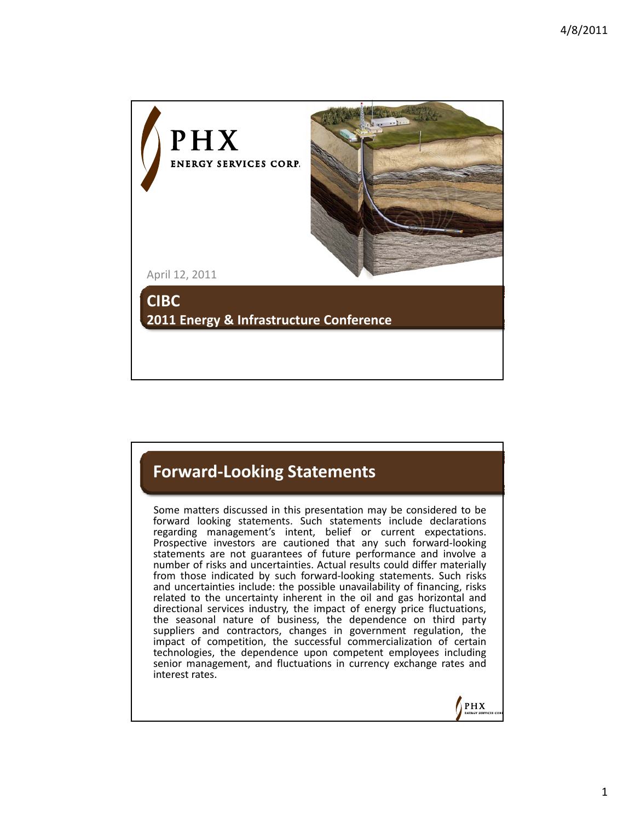

## **Forward‐Looking Statements**

Some matters discussed in this presentation may be considered to be forward looking statements. Such statements include declarations regarding management's intent, belief or current expectations. Prospective investors are cautioned that any such forward-looking statements are not guarantees of future performance and involve a number of risks and uncertainties. Actual results could differ materially from those indicated by such forward-looking statements. Such risks and uncertainties include: the possible unavailability of financing, risks related to the uncertainty inherent in the oil and gas horizontal and directional services industry, the impact of energy price fluctuations, the seasonal nature of business, the dependence on third party suppliers and contractors, changes in government regulation, the impact of competition, the successful commercialization of certain technologies, the dependence upon competent employees including senior management, and fluctuations in currency exchange rates and interest rates.

 $PHX$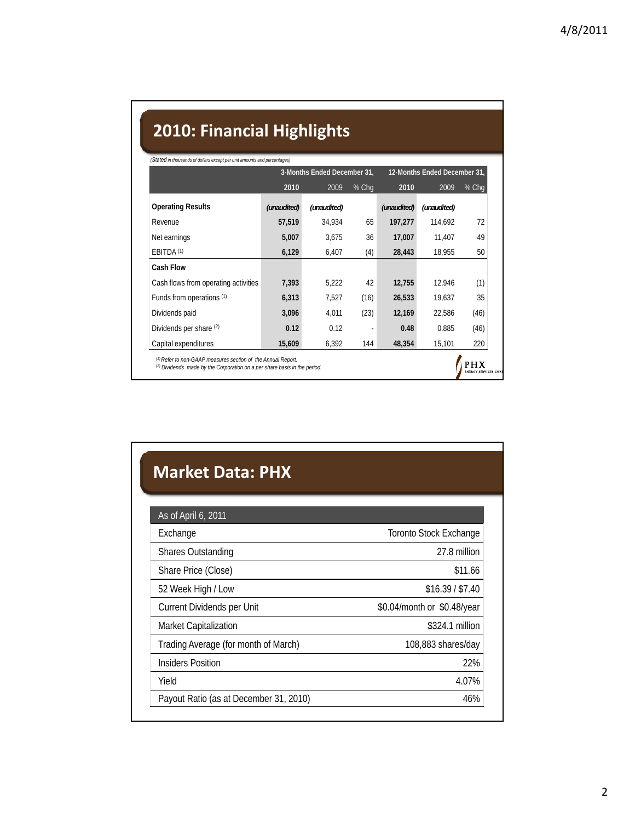## **2010: Financial Highlights**

|                                      | 3-Months Ended December 31, |             |       | 12-Months Ended December 31, |             |       |
|--------------------------------------|-----------------------------|-------------|-------|------------------------------|-------------|-------|
|                                      | 2010                        | 2009        | % Chq | 2010                         | 2009        | % Chq |
| <b>Operating Results</b>             | (unaudited)                 | (unaudited) |       | (unaudited)                  | (unaudited) |       |
| Revenue                              | 57,519                      | 34,934      | 65    | 197,277                      | 114,692     | 72    |
| Net earnings                         | 5,007                       | 3,675       | 36    | 17,007                       | 11,407      | 49    |
| EBITDA <sup>(1)</sup>                | 6,129                       | 6,407       | (4)   | 28,443                       | 18,955      | 50    |
| <b>Cash Flow</b>                     |                             |             |       |                              |             |       |
| Cash flows from operating activities | 7,393                       | 5,222       | 42    | 12,755                       | 12.946      | (1)   |
| Funds from operations (1)            | 6,313                       | 7,527       | (16)  | 26,533                       | 19,637      | 35    |
| Dividends paid                       | 3,096                       | 4,011       | (23)  | 12,169                       | 22,586      | (46)  |
| Dividends per share (2)              | 0.12                        | 0.12        |       | 0.48                         | 0.885       | (46)  |
| Capital expenditures                 | 15,609                      | 6,392       | 144   | 48,354                       | 15,101      | 220   |

## **Market Data: PHX**

| As of April 6, 2011                    |                             |  |  |
|----------------------------------------|-----------------------------|--|--|
| Exchange                               | Toronto Stock Exchange      |  |  |
| <b>Shares Outstanding</b>              | 27.8 million                |  |  |
| Share Price (Close)                    | \$11.66                     |  |  |
| 52 Week High / Low                     | \$16.39 / \$7.40            |  |  |
| Current Dividends per Unit             | \$0.04/month or \$0.48/year |  |  |
| <b>Market Capitalization</b>           | \$324.1 million             |  |  |
| Trading Average (for month of March)   | 108,883 shares/day          |  |  |
| <b>Insiders Position</b>               | 22%                         |  |  |
| Yield                                  | 4.07%                       |  |  |
| Payout Ratio (as at December 31, 2010) | 46%                         |  |  |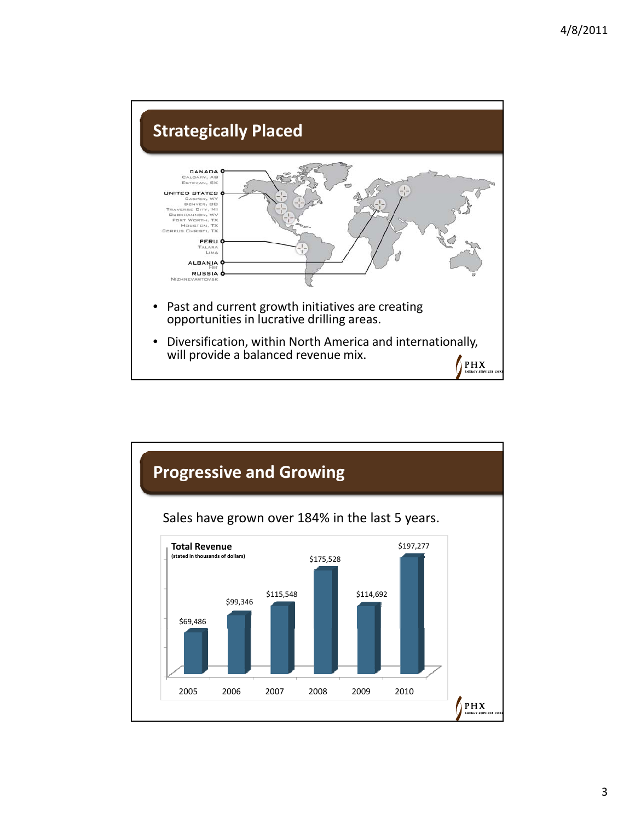

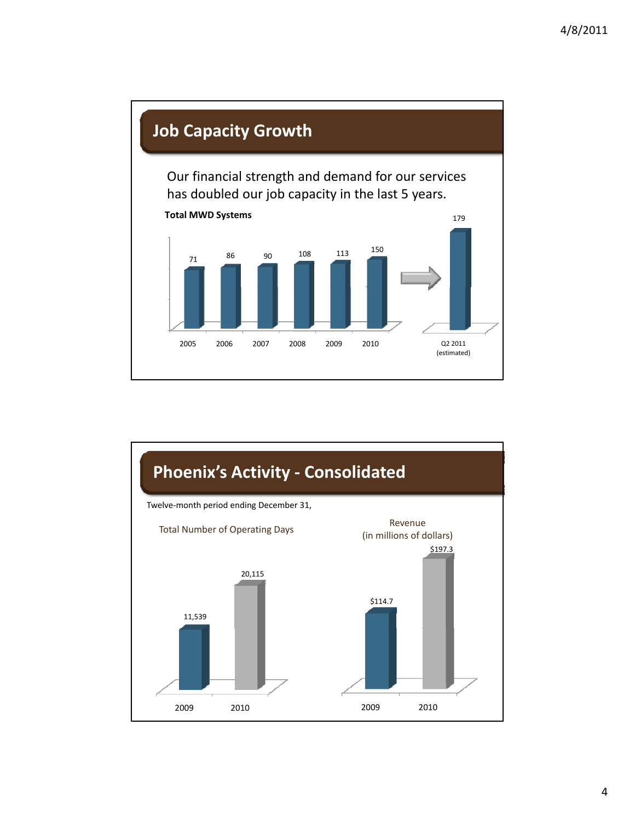